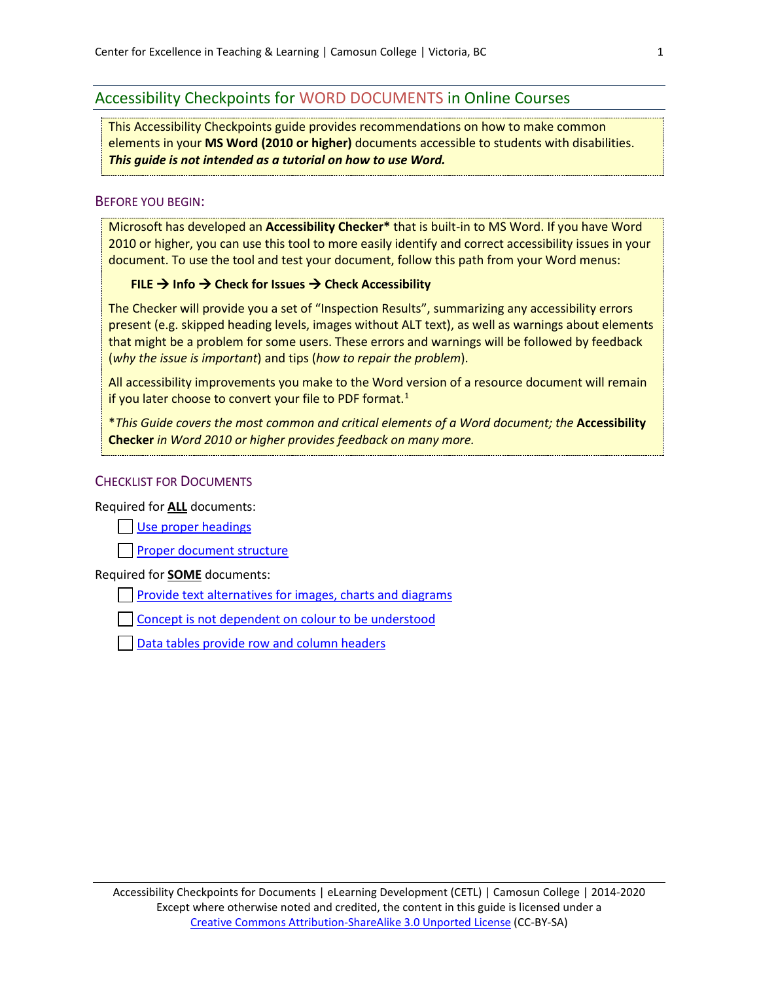# Accessibility Checkpoints for WORD DOCUMENTS in Online Courses

This Accessibility Checkpoints guide provides recommendations on how to make common elements in your **MS Word (2010 or higher)** documents accessible to students with disabilities. *This guide is not intended as a tutorial on how to use Word.*

### BEFORE YOU BEGIN:

Microsoft has developed an **Accessibility Checker\*** that is built-in to MS Word. If you have Word 2010 or higher, you can use this tool to more easily identify and correct accessibility issues in your document. To use the tool and test your document, follow this path from your Word menus:

### **FILE → Info → Check for Issues → Check Accessibility**

The Checker will provide you a set of "Inspection Results", summarizing any accessibility errors present (e.g. skipped heading levels, images without ALT text), as well as warnings about elements that might be a problem for some users. These errors and warnings will be followed by feedback (*why the issue is important*) and tips (*how to repair the problem*).

All accessibility improvements you make to the Word version of a resource document will remain if you later choose to convert your file to PDF format.<sup>[1](#page-12-0)</sup>

\**This Guide covers the most common and critical elements of a Word document; the* **Accessibility Checker** *in Word 2010 or higher provides feedback on many more.*

### **CHECKLIST FOR DOCUMENTS**

#### Required for **ALL** documents:

# [Use proper headings](#page-0-0)

**Proper [document structure](#page-3-0)** 

#### Required for **SOME** documents:

[Provide text alternatives for images, charts and diagrams](#page-6-0)

[Concept is not dependent on colour to be understood](#page-8-0)

<span id="page-0-0"></span>[Data tables provide row and column headers](#page-8-1)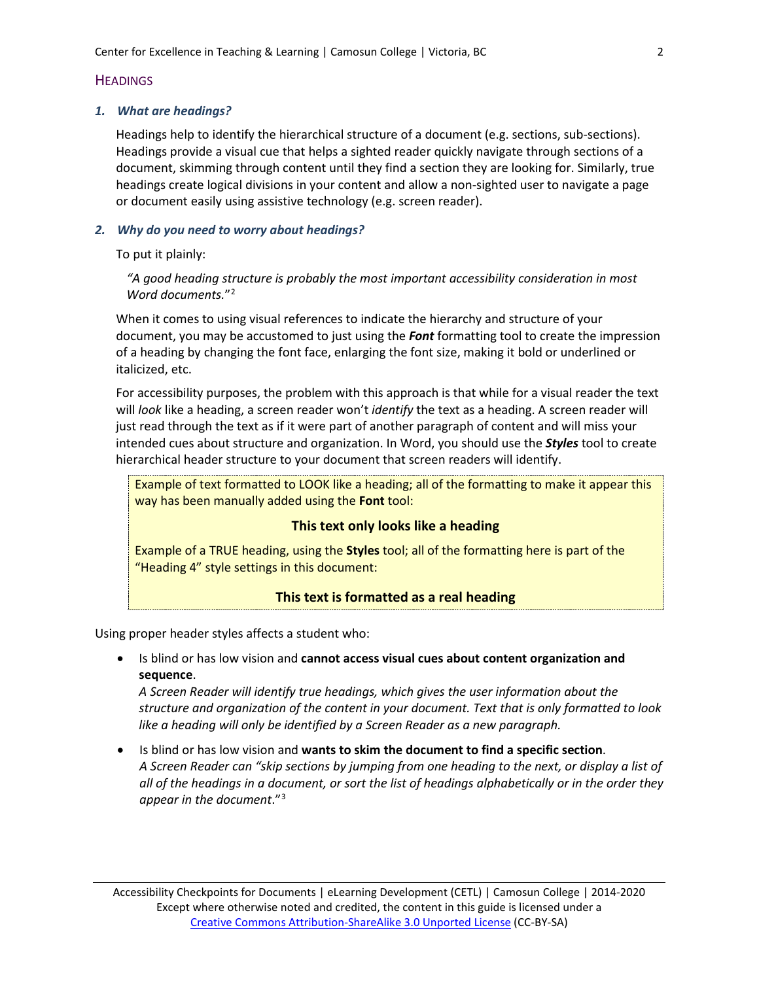## **HEADINGS**

### *1. What are headings?*

Headings help to identify the hierarchical structure of a document (e.g. sections, sub-sections). Headings provide a visual cue that helps a sighted reader quickly navigate through sections of a document, skimming through content until they find a section they are looking for. Similarly, true headings create logical divisions in your content and allow a non-sighted user to navigate a page or document easily using assistive technology (e.g. screen reader).

## *2. Why do you need to worry about headings?*

To put it plainly:

*"A good heading structure is probably the most important accessibility consideration in most Word documents.*["2](#page-12-1)

When it comes to using visual references to indicate the hierarchy and structure of your document, you may be accustomed to just using the *Font* formatting tool to create the impression of a heading by changing the font face, enlarging the font size, making it bold or underlined or italicized, etc.

For accessibility purposes, the problem with this approach is that while for a visual reader the text will *look* like a heading, a screen reader won't *identify* the text as a heading. A screen reader will just read through the text as if it were part of another paragraph of content and will miss your intended cues about structure and organization. In Word, you should use the *Styles* tool to create hierarchical header structure to your document that screen readers will identify.

Example of text formatted to LOOK like a heading; all of the formatting to make it appear this way has been manually added using the **Font** tool:

## **This text only looks like a heading**

Example of a TRUE heading, using the **Styles** tool; all of the formatting here is part of the "Heading 4" style settings in this document:

# **This text is formatted as a real heading**

Using proper header styles affects a student who:

• Is blind or has low vision and **cannot access visual cues about content organization and sequence**.

*A Screen Reader will identify true headings, which gives the user information about the structure and organization of the content in your document. Text that is only formatted to look like a heading will only be identified by a Screen Reader as a new paragraph.*

• Is blind or has low vision and **wants to skim the document to find a specific section**. *A Screen Reader can "skip sections by jumping from one heading to the next, or display a list of all of the headings in a document, or sort the list of headings alphabetically or in the order they appear in the document*."[3](#page-12-2)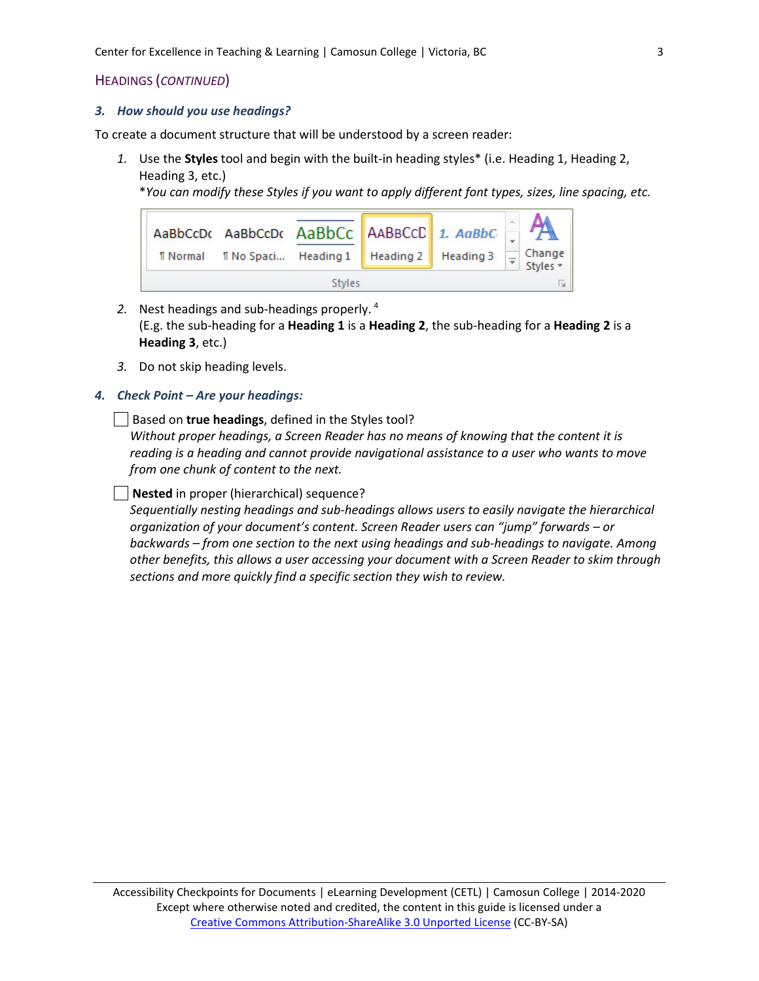# HEADINGS (*CONTINUED*)

#### *3. How should you use headings?*

To create a document structure that will be understood by a screen reader:

*1.* Use the **Styles** tool and begin with the built-in heading styles\* (i.e. Heading 1, Heading 2, Heading 3, etc.)

\**You can modify these Styles if you want to apply different font types, sizes, line spacing, etc.*

| <b>T</b> Normal     | AaBbCcDc AaBbCcDc AaBbCc AABBCcD 1. AaBbC<br><b>T</b> No Spaci Heading 1   Heading 2   Heading 3 |  |  |  |  | Change<br>Styles * |
|---------------------|--------------------------------------------------------------------------------------------------|--|--|--|--|--------------------|
| ß.<br><b>Styles</b> |                                                                                                  |  |  |  |  |                    |

- *2.* Nest headings and sub-headings properly. [4](#page-12-3) (E.g. the sub-heading for a **Heading 1** is a **Heading 2**, the sub-heading for a **Heading 2** is a **Heading 3**, etc.)
- *3.* Do not skip heading levels.

### *4. Check Point – Are your headings:*

Based on **true headings**, defined in the Styles tool?

*Without proper headings, a Screen Reader has no means of knowing that the content it is reading is a heading and cannot provide navigational assistance to a user who wants to move from one chunk of content to the next.*

**Nested** in proper (hierarchical) sequence?

*Sequentially nesting headings and sub-headings allows users to easily navigate the hierarchical organization of your document's content. Screen Reader users can "jump" forwards – or backwards – from one section to the next using headings and sub-headings to navigate. Among other benefits, this allows a user accessing your document with a Screen Reader to skim through sections and more quickly find a specific section they wish to review.*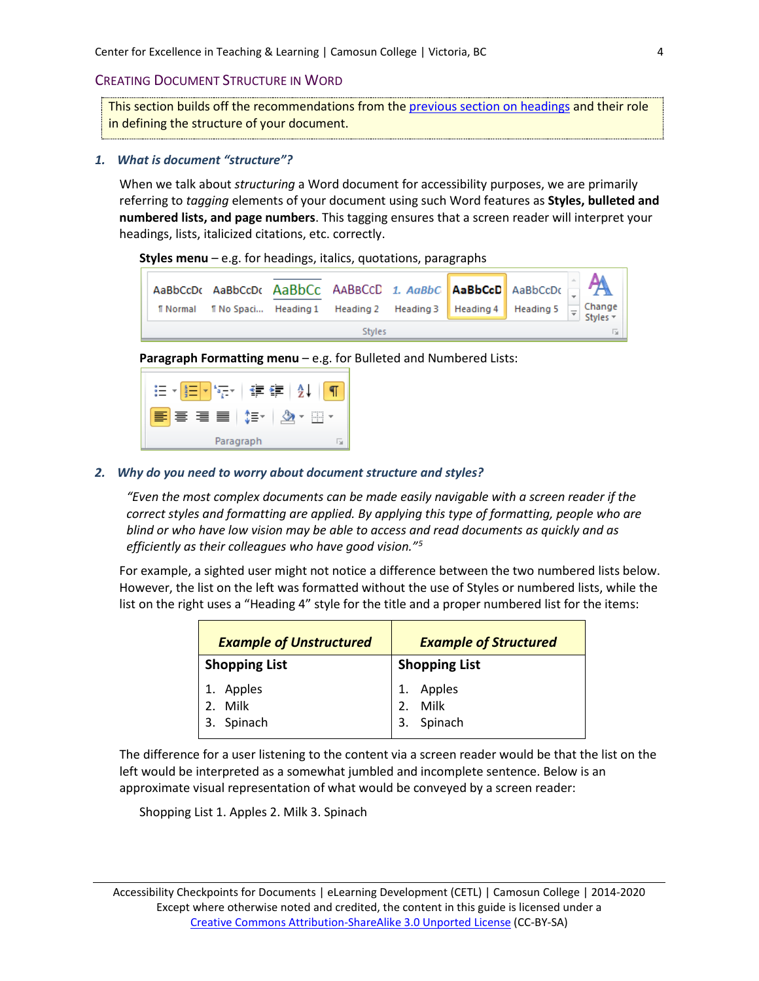## <span id="page-3-0"></span>CREATING DOCUMENT STRUCTURE IN WORD

This section builds off the recommendations from the [previous section on headings](#page-0-0) and their role in defining the structure of your document.

### <span id="page-3-1"></span>*1. What is document "structure"?*

When we talk about *structuring* a Word document for accessibility purposes, we are primarily referring to *tagging* elements of your document using such Word features as **Styles, bulleted and numbered lists, and page numbers**. This tagging ensures that a screen reader will interpret your headings, lists, italicized citations, etc. correctly.

#### **Styles menu** – e.g. for headings, italics, quotations, paragraphs



**Paragraph Formatting menu** – e.g. for Bulleted and Numbered Lists:

|           | YEYE   AL<br>$\frac{1}{2}$ |  |  |  |
|-----------|----------------------------|--|--|--|
| EE E E    |                            |  |  |  |
| Paragraph |                            |  |  |  |

### <span id="page-3-2"></span>*2. Why do you need to worry about document structure and styles?*

*"Even the most complex documents can be made easily navigable with a screen reader if the correct styles and formatting are applied. By applying this type of formatting, people who are blind or who have low vision may be able to access and read documents as quickly and as efficiently as their colleagues who have good vision."[5](#page-12-4)*

For example, a sighted user might not notice a difference between the two numbered lists below. However, the list on the left was formatted without the use of Styles or numbered lists, while the list on the right uses a "Heading 4" style for the title and a proper numbered list for the items:

| <b>Example of Unstructured</b> | <b>Example of Structured</b> |  |  |
|--------------------------------|------------------------------|--|--|
| <b>Shopping List</b>           | <b>Shopping List</b>         |  |  |
| 1. Apples                      | 1. Apples<br>2. Milk         |  |  |
| 2. Milk                        |                              |  |  |
| 3. Spinach                     | 3. Spinach                   |  |  |

The difference for a user listening to the content via a screen reader would be that the list on the left would be interpreted as a somewhat jumbled and incomplete sentence. Below is an approximate visual representation of what would be conveyed by a screen reader:

Shopping List 1. Apples 2. Milk 3. Spinach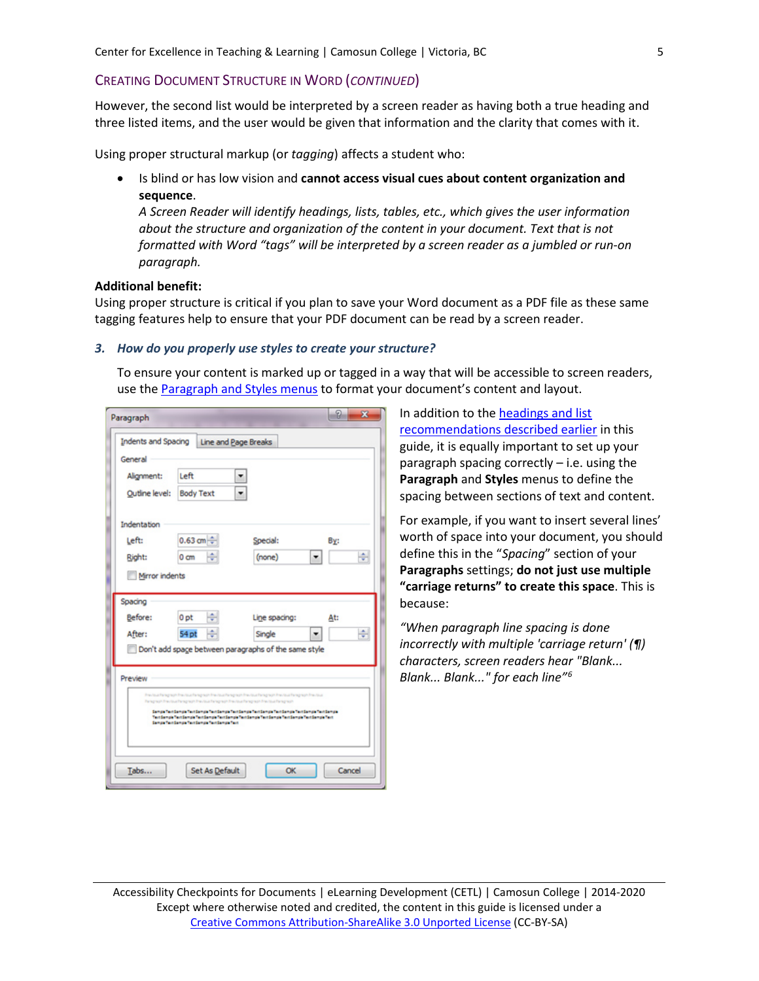## CREATING DOCUMENT STRUCTURE IN WORD (*CONTINUED*)

However, the second list would be interpreted by a screen reader as having both a true heading and three listed items, and the user would be given that information and the clarity that comes with it.

Using proper structural markup (or *tagging*) affects a student who:

• Is blind or has low vision and **cannot access visual cues about content organization and sequence**.

*A Screen Reader will identify headings, lists, tables, etc., which gives the user information about the structure and organization of the content in your document. Text that is not formatted with Word "tags" will be interpreted by a screen reader as a jumbled or run-on paragraph.*

#### **Additional benefit:**

Using proper structure is critical if you plan to save your Word document as a PDF file as these same tagging features help to ensure that your PDF document can be read by a screen reader.

### *3. How do you properly use styles to create your structure?*

To ensure your content is marked up or tagged in a way that will be accessible to screen readers, use the [Paragraph and Styles menus](#page-3-1) to format your document's content and layout.

| Paragraph                  |                                                                                           |                                                                                                                                                                                                               | 2<br>x |
|----------------------------|-------------------------------------------------------------------------------------------|---------------------------------------------------------------------------------------------------------------------------------------------------------------------------------------------------------------|--------|
| <b>Indents and Spacing</b> |                                                                                           | Line and Page Breaks                                                                                                                                                                                          |        |
| General                    |                                                                                           |                                                                                                                                                                                                               |        |
| Alignment:                 | Left                                                                                      |                                                                                                                                                                                                               |        |
| Outline level:             | <b>Body Text</b>                                                                          | ٠                                                                                                                                                                                                             |        |
| Indentation                |                                                                                           |                                                                                                                                                                                                               |        |
| Left:                      | $0.63$ cm $\div$                                                                          | Special:                                                                                                                                                                                                      | By:    |
| Right:                     | 0 <sub>cm</sub>                                                                           | (none)                                                                                                                                                                                                        | ÷      |
| Mirror indents             |                                                                                           |                                                                                                                                                                                                               |        |
|                            |                                                                                           |                                                                                                                                                                                                               |        |
| Spacing                    |                                                                                           |                                                                                                                                                                                                               |        |
| Before:                    | 0 <sub>pt</sub>                                                                           | Line spacing:                                                                                                                                                                                                 | At:    |
| After:                     | 54 pt                                                                                     | Single                                                                                                                                                                                                        | ÷      |
|                            |                                                                                           | Don't add space between paragraphs of the same style                                                                                                                                                          |        |
|                            |                                                                                           |                                                                                                                                                                                                               |        |
| Preview                    |                                                                                           |                                                                                                                                                                                                               |        |
|                            | Paragraph Free loud Faregraph Free loud Faregraph Free loud Faregraph Free loud Faregraph | Prestout hangings the stout hangings frestout hangings the stout hangings the stouthangings the stout                                                                                                         |        |
|                            |                                                                                           | Compartial Semple Test Semple Test Semple Test Semple Test Semple Test Semple Test Semple Test Semple<br>Text Sample Text Sample Text Sample Text Sample Text Sample Text Sample Text Sample Text Sample Text |        |
|                            | Sample Text Sample Text Sample Text Sample Text                                           |                                                                                                                                                                                                               |        |
|                            |                                                                                           |                                                                                                                                                                                                               |        |
|                            |                                                                                           |                                                                                                                                                                                                               |        |
|                            |                                                                                           |                                                                                                                                                                                                               |        |

In addition to th[e headings and list](#page-3-2) [recommendations described earlier](#page-3-2) in this guide, it is equally important to set up your paragraph spacing correctly – i.e. using the **Paragraph** and **Styles** menus to define the spacing between sections of text and content.

For example, if you want to insert several lines' worth of space into your document, you should define this in the "*Spacing*" section of your **Paragraphs** settings; **do not just use multiple "carriage returns" to create this space**. This is because:

*"When paragraph line spacing is done incorrectly with multiple 'carriage return' (¶) characters, screen readers hear "Blank... Blank... Blank..." for each line"[6](#page-12-5)*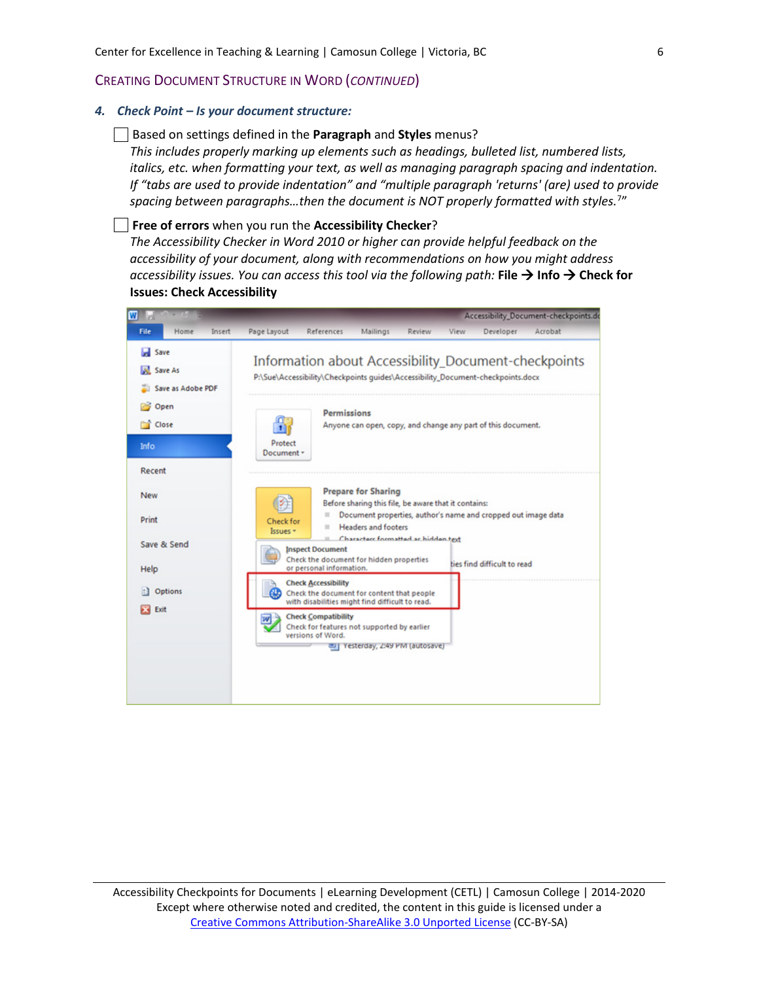## CREATING DOCUMENT STRUCTURE IN WORD (*CONTINUED*)

#### *4. Check Point – Is your document structure:*

#### Based on settings defined in the **Paragraph** and **Styles** menus?

*This includes properly marking up elements such as headings, bulleted list, numbered lists, italics, etc. when formatting your text, as well as managing paragraph spacing and indentation. If "tabs are used to provide indentation" and "multiple paragraph 'returns' (are) used to provide spacing between paragraphs…then the document is NOT properly formatted with styles.*[7](#page-12-6) "

#### **Free of errors** when you run the **Accessibility Checker**?

*The Accessibility Checker in Word 2010 or higher can provide helpful feedback on the accessibility of your document, along with recommendations on how you might address accessibility issues. You can access this tool via the following path:* **File Info Check for Issues: Check Accessibility**

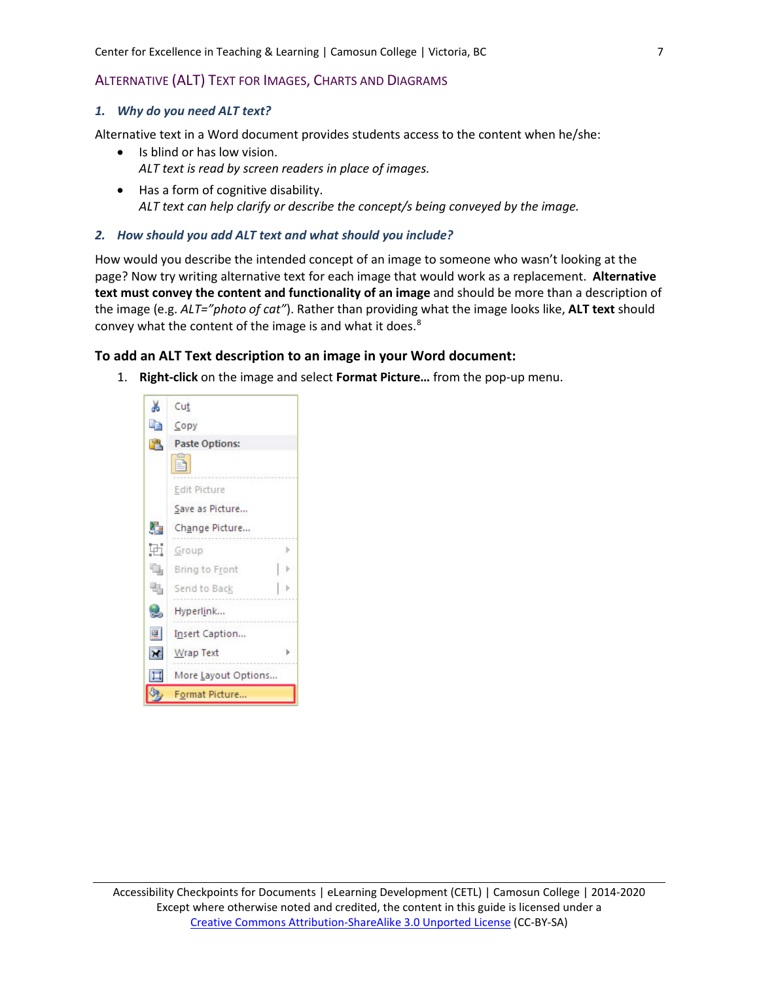## <span id="page-6-0"></span>ALTERNATIVE (ALT) TEXT FOR IMAGES, CHARTS AND DIAGRAMS

### *1. Why do you need ALT text?*

Alternative text in a Word document provides students access to the content when he/she:

- Is blind or has low vision. *ALT text is read by screen readers in place of images.*
- Has a form of cognitive disability. *ALT text can help clarify or describe the concept/s being conveyed by the image.*

### *2. How should you add ALT text and what should you include?*

How would you describe the intended concept of an image to someone who wasn't looking at the page? Now try writing alternative text for each image that would work as a replacement. **Alternative text must convey the content and functionality of an image** and should be more than a description of the image (e.g. *ALT="photo of cat"*). Rather than providing what the image looks like, **ALT text** should convey what the content of the image is and what it does.<sup>8</sup>

## **To add an ALT Text description to an image in your Word document:**

1. **Right-click** on the image and select **Format Picture…** from the pop-up menu.

| Ж  | Cut                   |  |  |
|----|-----------------------|--|--|
| łe | Copy                  |  |  |
| 置  | <b>Paste Options:</b> |  |  |
|    |                       |  |  |
|    | Edit Picture          |  |  |
|    | Save as Picture       |  |  |
| r, | Change Picture        |  |  |
| Ħ  | Group                 |  |  |
| ٩  | Bring to Front        |  |  |
| 围  | Send to Back          |  |  |
| Q, | Hyperlink             |  |  |
| 圛  | Insert Caption        |  |  |
| X  | Wrap Text             |  |  |
| 耳  | More Layout Options   |  |  |
|    | Format Picture        |  |  |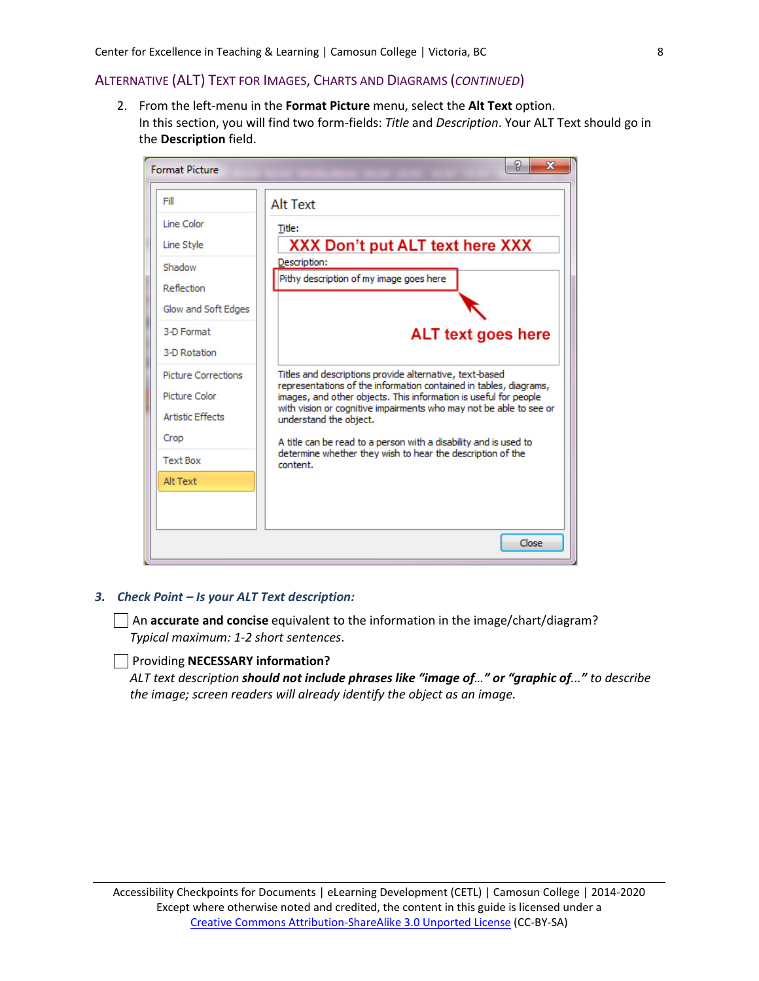## ALTERNATIVE (ALT) TEXT FOR IMAGES, CHARTS AND DIAGRAMS (*CONTINUED*)

2. From the left-menu in the **Format Picture** menu, select the **Alt Text** option. In this section, you will find two form-fields: *Title* and *Description*. Your ALT Text should go in the **Description** field.



## *3. Check Point – Is your ALT Text description:*

An **accurate and concise** equivalent to the information in the image/chart/diagram? *Typical maximum: 1-2 short sentences*.

## Providing **NECESSARY information?**

*ALT text description should not include phrases like "image of…" or "graphic of..." to describe the image; screen readers will already identify the object as an image.*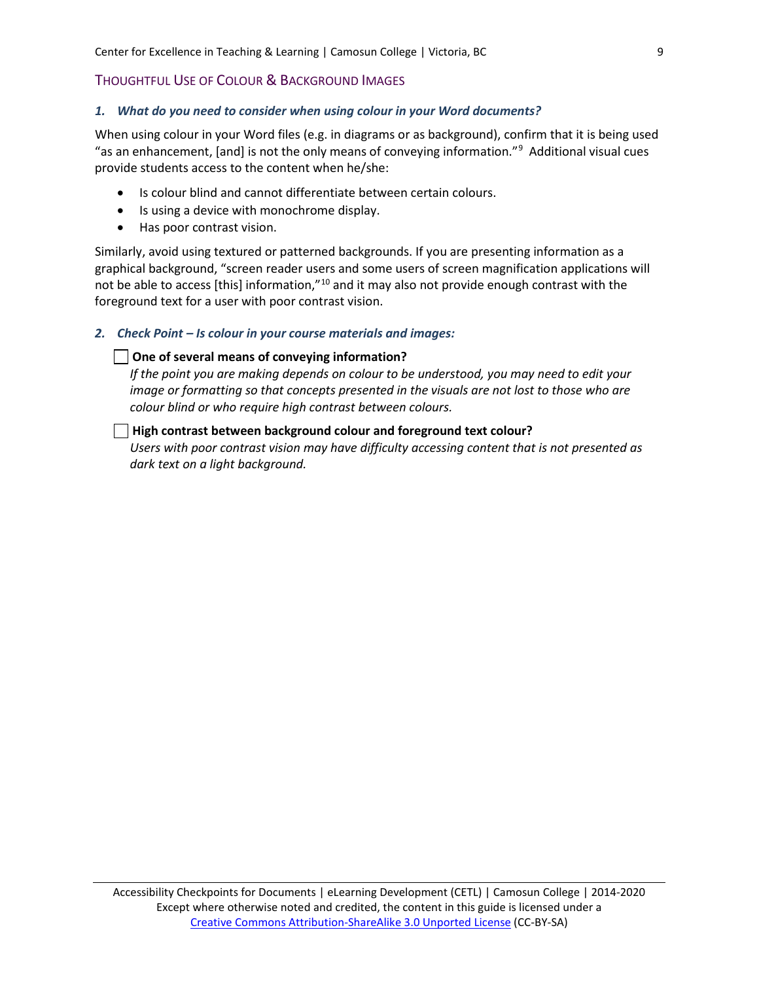## <span id="page-8-0"></span>THOUGHTFUL USE OF COLOUR & BACKGROUND IMAGES

### *1. What do you need to consider when using colour in your Word documents?*

When using colour in your Word files (e.g. in diagrams or as background), confirm that it is being used "as an enhancement, [and] is not the only means of conveying information."<sup>[9](#page-12-8)</sup> Additional visual cues provide students access to the content when he/she:

- Is colour blind and cannot differentiate between certain colours.
- Is using a device with monochrome display.
- Has poor contrast vision.

Similarly, avoid using textured or patterned backgrounds. If you are presenting information as a graphical background, "screen reader users and some users of screen magnification applications will not be able to access [this] information,"[10](#page-12-9) and it may also not provide enough contrast with the foreground text for a user with poor contrast vision.

## *2. Check Point – Is colour in your course materials and images:*

### **One of several means of conveying information?**

*If the point you are making depends on colour to be understood, you may need to edit your image or formatting so that concepts presented in the visuals are not lost to those who are colour blind or who require high contrast between colours.*

## **High contrast between background colour and foreground text colour?**

<span id="page-8-1"></span>*Users with poor contrast vision may have difficulty accessing content that is not presented as dark text on a light background.*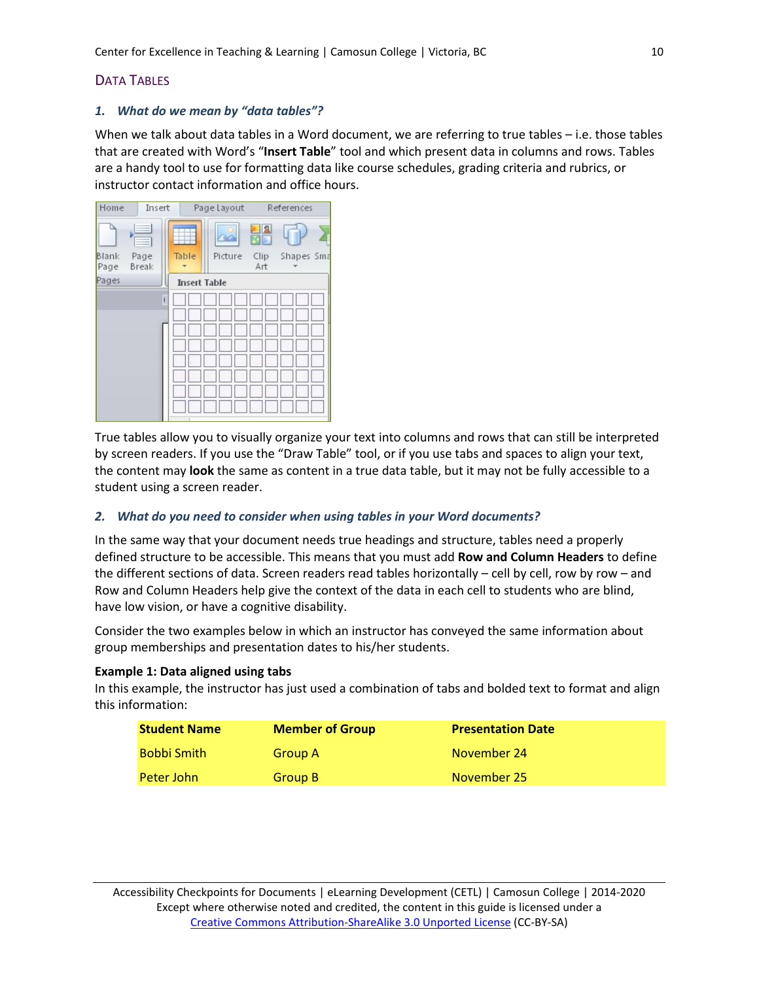# DATA TABLES

## *1. What do we mean by "data tables"?*

When we talk about data tables in a Word document, we are referring to true tables – i.e. those tables that are created with Word's "**Insert Table**" tool and which present data in columns and rows. Tables are a handy tool to use for formatting data like course schedules, grading criteria and rubrics, or instructor contact information and office hours.



True tables allow you to visually organize your text into columns and rows that can still be interpreted by screen readers. If you use the "Draw Table" tool, or if you use tabs and spaces to align your text, the content may **look** the same as content in a true data table, but it may not be fully accessible to a student using a screen reader.

## *2. What do you need to consider when using tables in your Word documents?*

In the same way that your document needs true headings and structure, tables need a properly defined structure to be accessible. This means that you must add **Row and Column Headers** to define the different sections of data. Screen readers read tables horizontally – cell by cell, row by row – and Row and Column Headers help give the context of the data in each cell to students who are blind, have low vision, or have a cognitive disability.

Consider the two examples below in which an instructor has conveyed the same information about group memberships and presentation dates to his/her students.

## **Example 1: Data aligned using tabs**

In this example, the instructor has just used a combination of tabs and bolded text to format and align this information:

| <b>Student Name</b> | <b>Member of Group</b> | <b>Presentation Date</b> |
|---------------------|------------------------|--------------------------|
| <b>Bobbi Smith</b>  | Group A                | November 24              |
| <b>Peter John</b>   | Group B                | November 25              |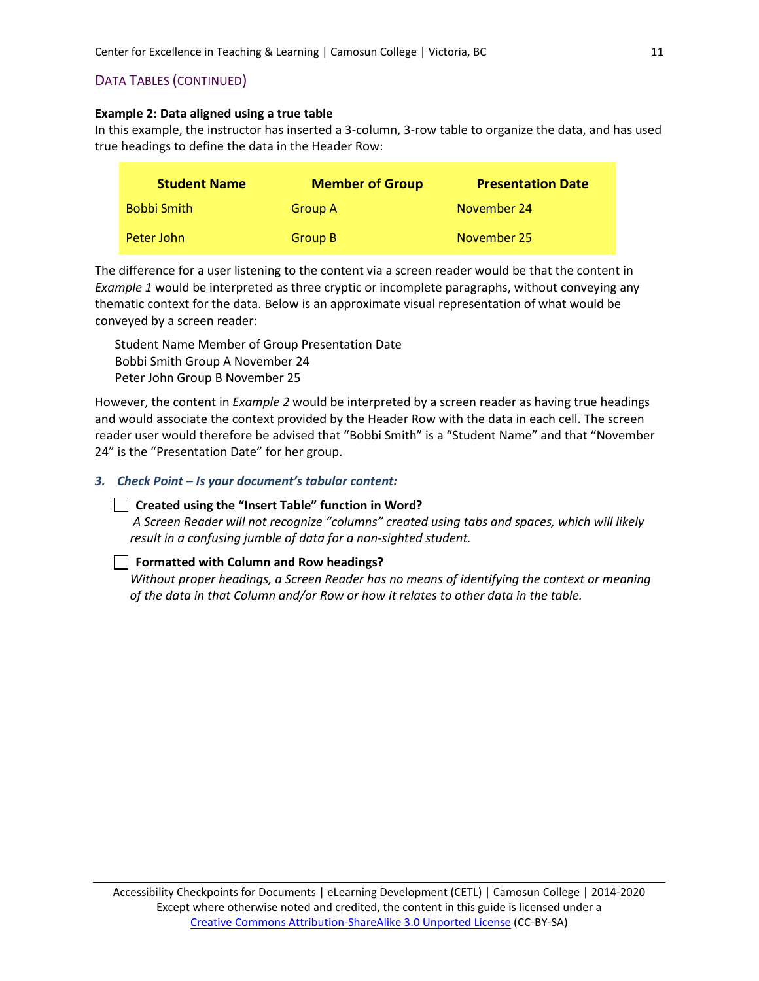# DATA TABLES (CONTINUED)

## **Example 2: Data aligned using a true table**

In this example, the instructor has inserted a 3-column, 3-row table to organize the data, and has used true headings to define the data in the Header Row:

| <b>Student Name</b> | <b>Member of Group</b> | <b>Presentation Date</b> |
|---------------------|------------------------|--------------------------|
| <b>Bobbi Smith</b>  | <b>Group A</b>         | November 24              |
| Peter John          | Group B                | November 25              |

The difference for a user listening to the content via a screen reader would be that the content in *Example 1* would be interpreted as three cryptic or incomplete paragraphs, without conveying any thematic context for the data. Below is an approximate visual representation of what would be conveyed by a screen reader:

Student Name Member of Group Presentation Date Bobbi Smith Group A November 24 Peter John Group B November 25

However, the content in *Example 2* would be interpreted by a screen reader as having true headings and would associate the context provided by the Header Row with the data in each cell. The screen reader user would therefore be advised that "Bobbi Smith" is a "Student Name" and that "November 24" is the "Presentation Date" for her group.

## *3. Check Point – Is your document's tabular content:*

## **Created using the "Insert Table" function in Word?**

*A Screen Reader will not recognize "columns" created using tabs and spaces, which will likely result in a confusing jumble of data for a non-sighted student.*

## **Formatted with Column and Row headings?**

*Without proper headings, a Screen Reader has no means of identifying the context or meaning of the data in that Column and/or Row or how it relates to other data in the table.*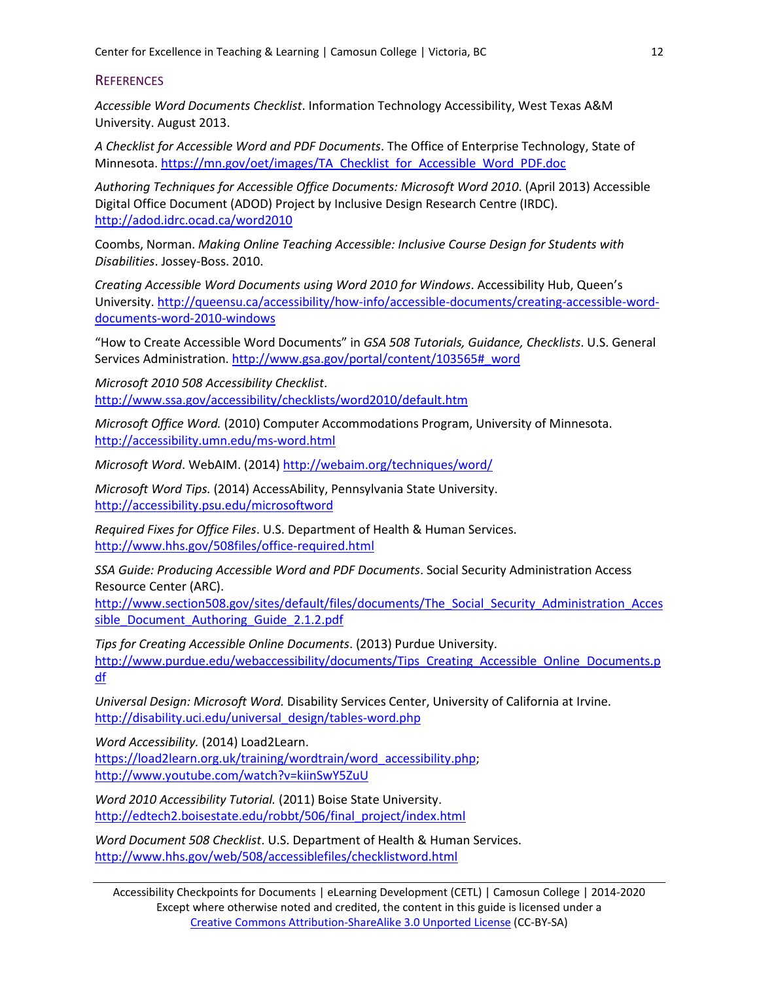# **REFERENCES**

*Accessible Word Documents Checklist*. Information Technology Accessibility, West Texas A&M University. August 2013.

*A Checklist for Accessible Word and PDF Documents*. The Office of Enterprise Technology, State of Minnesota. [https://mn.gov/oet/images/TA\\_Checklist\\_for\\_Accessible\\_Word\\_PDF.doc](https://mn.gov/oet/images/TA_Checklist_for_Accessible_Word_PDF.doc)

*Authoring Techniques for Accessible Office Documents: Microsoft Word 2010*. (April 2013) Accessible Digital Office Document (ADOD) Project by Inclusive Design Research Centre (IRDC). <http://adod.idrc.ocad.ca/word2010>

Coombs, Norman. *Making Online Teaching Accessible: Inclusive Course Design for Students with Disabilities*. Jossey-Boss. 2010.

*Creating Accessible Word Documents using Word 2010 for Windows*. Accessibility Hub, Queen's University. [http://queensu.ca/accessibility/how-info/accessible-documents/creating-accessible-word](http://queensu.ca/accessibility/how-info/accessible-documents/creating-accessible-word-documents-word-2010-windows)[documents-word-2010-windows](http://queensu.ca/accessibility/how-info/accessible-documents/creating-accessible-word-documents-word-2010-windows)

"How to Create Accessible Word Documents" in *GSA 508 Tutorials, Guidance, Checklists*. U.S. General Services Administration. [http://www.gsa.gov/portal/content/103565#\\_word](http://www.gsa.gov/portal/content/103565#_word)

*Microsoft 2010 508 Accessibility Checklist*. <http://www.ssa.gov/accessibility/checklists/word2010/default.htm>

*Microsoft Office Word.* (2010) Computer Accommodations Program, University of Minnesota. <http://accessibility.umn.edu/ms-word.html>

*Microsoft Word*. WebAIM. (2014)<http://webaim.org/techniques/word/>

*Microsoft Word Tips.* (2014) AccessAbility, Pennsylvania State University. <http://accessibility.psu.edu/microsoftword>

*Required Fixes for Office Files*. U.S. Department of Health & Human Services. <http://www.hhs.gov/508files/office-required.html>

*SSA Guide: Producing Accessible Word and PDF Documents*. Social Security Administration Access Resource Center (ARC).

[http://www.section508.gov/sites/default/files/documents/The\\_Social\\_Security\\_Administration\\_Acces](http://www.section508.gov/sites/default/files/documents/The_Social_Security_Administration_Accessible_Document_Authoring_Guide_2.1.2.pdf) [sible\\_Document\\_Authoring\\_Guide\\_2.1.2.pdf](http://www.section508.gov/sites/default/files/documents/The_Social_Security_Administration_Accessible_Document_Authoring_Guide_2.1.2.pdf)

*Tips for Creating Accessible Online Documents*. (2013) Purdue University. [http://www.purdue.edu/webaccessibility/documents/Tips\\_Creating\\_Accessible\\_Online\\_Documents.p](http://www.purdue.edu/webaccessibility/documents/Tips_Creating_Accessible_Online_Documents.pdf) [df](http://www.purdue.edu/webaccessibility/documents/Tips_Creating_Accessible_Online_Documents.pdf)

*Universal Design: Microsoft Word.* Disability Services Center, University of California at Irvine. [http://disability.uci.edu/universal\\_design/tables-word.php](http://disability.uci.edu/universal_design/tables-word.php)

*Word Accessibility.* (2014) Load2Learn. [https://load2learn.org.uk/training/wordtrain/word\\_accessibility.php;](https://load2learn.org.uk/training/wordtrain/word_accessibility.php) <http://www.youtube.com/watch?v=kiinSwY5ZuU>

*Word 2010 Accessibility Tutorial.* (2011) Boise State University. [http://edtech2.boisestate.edu/robbt/506/final\\_project/index.html](http://edtech2.boisestate.edu/robbt/506/final_project/index.html)

*Word Document 508 Checklist*. U.S. Department of Health & Human Services. <http://www.hhs.gov/web/508/accessiblefiles/checklistword.html>

Accessibility Checkpoints for Documents | eLearning Development (CETL) | Camosun College | 2014-2020 Except where otherwise noted and credited, the content in this guide is licensed under a [Creative Commons Attribution-ShareAlike 3.0 Unported License](http://creativecommons.org/licenses/by-sa/3.0/deed.en_US) (CC-BY-SA)